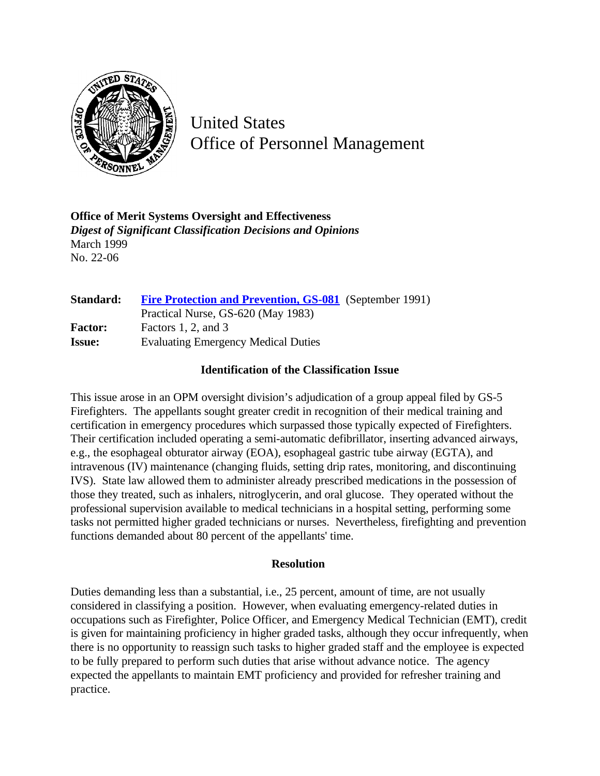

United States Office of Personnel Management

**Office of Merit Systems Oversight and Effectiveness** *Digest of Significant Classification Decisions and Opinions* March 1999 No. 22-06

| Standard:      | <b>Fire Protection and Prevention, GS-081</b> (September 1991) |
|----------------|----------------------------------------------------------------|
|                | Practical Nurse, GS-620 (May 1983)                             |
| <b>Factor:</b> | Factors 1, 2, and $3$                                          |
| <b>Issue:</b>  | <b>Evaluating Emergency Medical Duties</b>                     |

## **Identification of the Classification Issue**

This issue arose in an OPM oversight division's adjudication of a group appeal filed by GS-5 Firefighters. The appellants sought greater credit in recognition of their medical training and certification in emergency procedures which surpassed those typically expected of Firefighters. Their certification included operating a semi-automatic defibrillator, inserting advanced airways, e.g., the esophageal obturator airway (EOA), esophageal gastric tube airway (EGTA), and intravenous (IV) maintenance (changing fluids, setting drip rates, monitoring, and discontinuing IVS). State law allowed them to administer already prescribed medications in the possession of those they treated, such as inhalers, nitroglycerin, and oral glucose. They operated without the professional supervision available to medical technicians in a hospital setting, performing some tasks not permitted higher graded technicians or nurses. Nevertheless, firefighting and prevention functions demanded about 80 percent of the appellants' time.

## **Resolution**

Duties demanding less than a substantial, i.e., 25 percent, amount of time, are not usually considered in classifying a position. However, when evaluating emergency-related duties in occupations such as Firefighter, Police Officer, and Emergency Medical Technician (EMT), credit is given for maintaining proficiency in higher graded tasks, although they occur infrequently, when there is no opportunity to reassign such tasks to higher graded staff and the employee is expected to be fully prepared to perform such duties that arise without advance notice. The agency expected the appellants to maintain EMT proficiency and provided for refresher training and practice.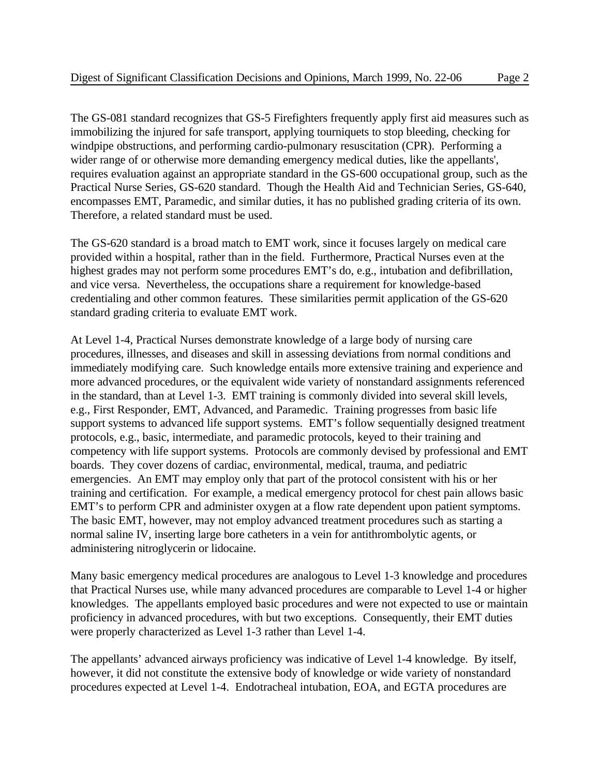The GS-081 standard recognizes that GS-5 Firefighters frequently apply first aid measures such as immobilizing the injured for safe transport, applying tourniquets to stop bleeding, checking for windpipe obstructions, and performing cardio-pulmonary resuscitation (CPR). Performing a wider range of or otherwise more demanding emergency medical duties, like the appellants', requires evaluation against an appropriate standard in the GS-600 occupational group, such as the Practical Nurse Series, GS-620 standard. Though the Health Aid and Technician Series, GS-640, encompasses EMT, Paramedic, and similar duties, it has no published grading criteria of its own. Therefore, a related standard must be used.

The GS-620 standard is a broad match to EMT work, since it focuses largely on medical care provided within a hospital, rather than in the field. Furthermore, Practical Nurses even at the highest grades may not perform some procedures EMT's do, e.g., intubation and defibrillation, and vice versa. Nevertheless, the occupations share a requirement for knowledge-based credentialing and other common features. These similarities permit application of the GS-620 standard grading criteria to evaluate EMT work.

At Level 1-4, Practical Nurses demonstrate knowledge of a large body of nursing care procedures, illnesses, and diseases and skill in assessing deviations from normal conditions and immediately modifying care. Such knowledge entails more extensive training and experience and more advanced procedures, or the equivalent wide variety of nonstandard assignments referenced in the standard, than at Level 1-3. EMT training is commonly divided into several skill levels, e.g., First Responder, EMT, Advanced, and Paramedic. Training progresses from basic life support systems to advanced life support systems. EMT's follow sequentially designed treatment protocols, e.g., basic, intermediate, and paramedic protocols, keyed to their training and competency with life support systems. Protocols are commonly devised by professional and EMT boards. They cover dozens of cardiac, environmental, medical, trauma, and pediatric emergencies. An EMT may employ only that part of the protocol consistent with his or her training and certification. For example, a medical emergency protocol for chest pain allows basic EMT's to perform CPR and administer oxygen at a flow rate dependent upon patient symptoms. The basic EMT, however, may not employ advanced treatment procedures such as starting a normal saline IV, inserting large bore catheters in a vein for antithrombolytic agents, or administering nitroglycerin or lidocaine.

Many basic emergency medical procedures are analogous to Level 1-3 knowledge and procedures that Practical Nurses use, while many advanced procedures are comparable to Level 1-4 or higher knowledges. The appellants employed basic procedures and were not expected to use or maintain proficiency in advanced procedures, with but two exceptions. Consequently, their EMT duties were properly characterized as Level 1-3 rather than Level 1-4.

The appellants' advanced airways proficiency was indicative of Level 1-4 knowledge. By itself, however, it did not constitute the extensive body of knowledge or wide variety of nonstandard procedures expected at Level 1-4. Endotracheal intubation, EOA, and EGTA procedures are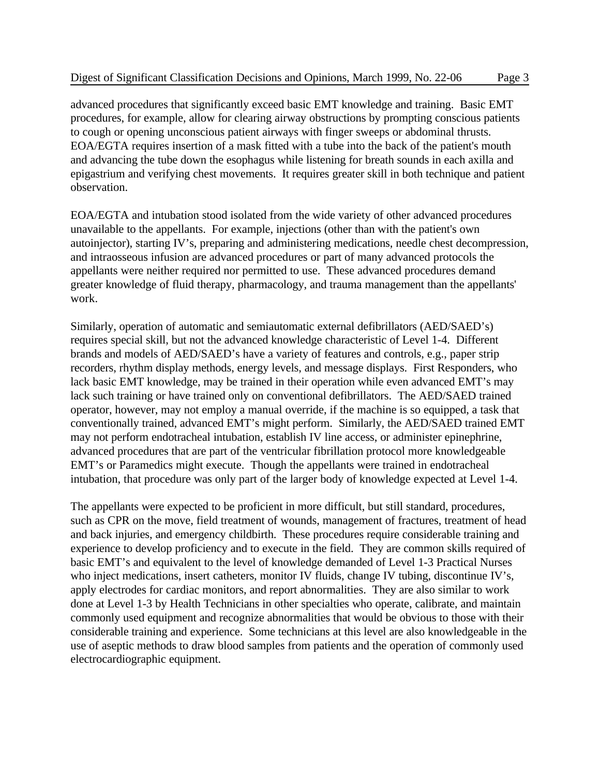advanced procedures that significantly exceed basic EMT knowledge and training. Basic EMT procedures, for example, allow for clearing airway obstructions by prompting conscious patients to cough or opening unconscious patient airways with finger sweeps or abdominal thrusts. EOA/EGTA requires insertion of a mask fitted with a tube into the back of the patient's mouth and advancing the tube down the esophagus while listening for breath sounds in each axilla and epigastrium and verifying chest movements. It requires greater skill in both technique and patient observation.

EOA/EGTA and intubation stood isolated from the wide variety of other advanced procedures unavailable to the appellants. For example, injections (other than with the patient's own autoinjector), starting IV's, preparing and administering medications, needle chest decompression, and intraosseous infusion are advanced procedures or part of many advanced protocols the appellants were neither required nor permitted to use. These advanced procedures demand greater knowledge of fluid therapy, pharmacology, and trauma management than the appellants' work.

Similarly, operation of automatic and semiautomatic external defibrillators (AED/SAED's) requires special skill, but not the advanced knowledge characteristic of Level 1-4. Different brands and models of AED/SAED's have a variety of features and controls, e.g., paper strip recorders, rhythm display methods, energy levels, and message displays. First Responders, who lack basic EMT knowledge, may be trained in their operation while even advanced EMT's may lack such training or have trained only on conventional defibrillators. The AED/SAED trained operator, however, may not employ a manual override, if the machine is so equipped, a task that conventionally trained, advanced EMT's might perform. Similarly, the AED/SAED trained EMT may not perform endotracheal intubation, establish IV line access, or administer epinephrine, advanced procedures that are part of the ventricular fibrillation protocol more knowledgeable EMT's or Paramedics might execute. Though the appellants were trained in endotracheal intubation, that procedure was only part of the larger body of knowledge expected at Level 1-4.

The appellants were expected to be proficient in more difficult, but still standard, procedures, such as CPR on the move, field treatment of wounds, management of fractures, treatment of head and back injuries, and emergency childbirth. These procedures require considerable training and experience to develop proficiency and to execute in the field. They are common skills required of basic EMT's and equivalent to the level of knowledge demanded of Level 1-3 Practical Nurses who inject medications, insert catheters, monitor IV fluids, change IV tubing, discontinue IV's, apply electrodes for cardiac monitors, and report abnormalities. They are also similar to work done at Level 1-3 by Health Technicians in other specialties who operate, calibrate, and maintain commonly used equipment and recognize abnormalities that would be obvious to those with their considerable training and experience. Some technicians at this level are also knowledgeable in the use of aseptic methods to draw blood samples from patients and the operation of commonly used electrocardiographic equipment.